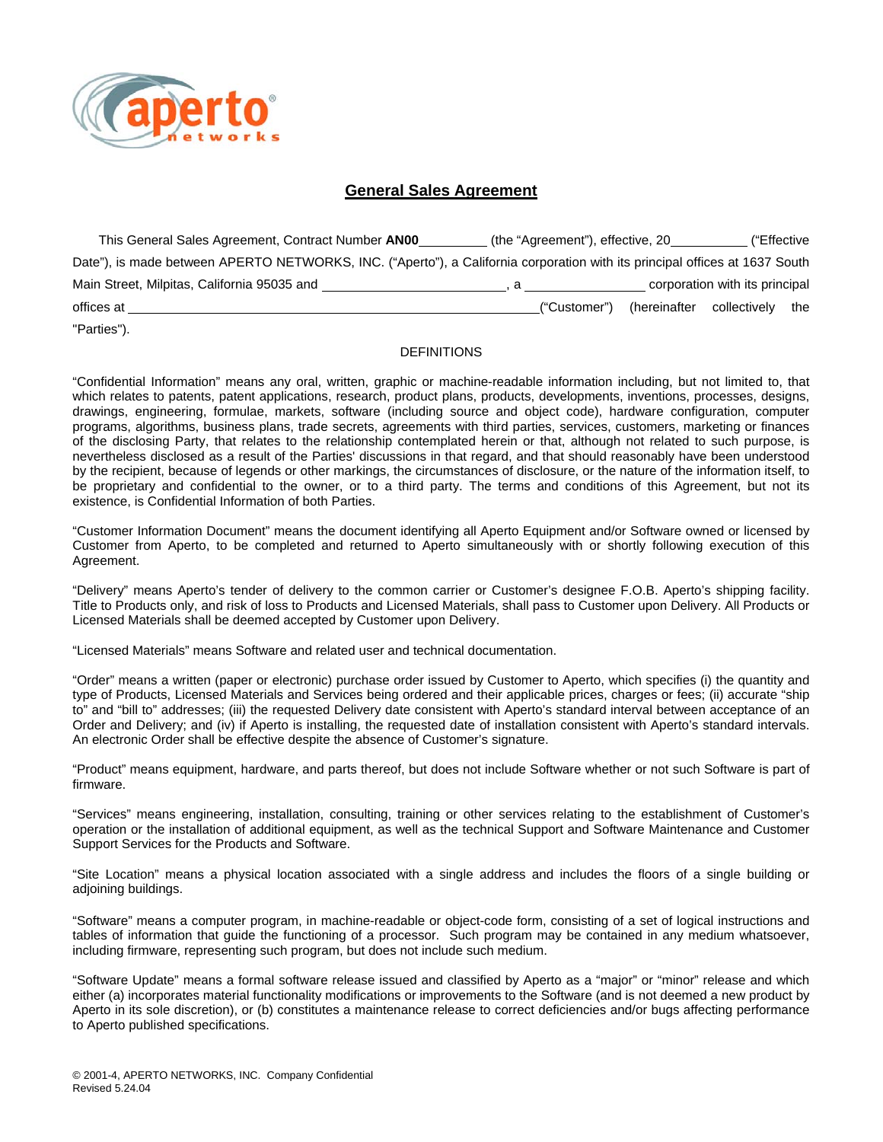

## **General Sales Agreement**

| This General Sales Agreement, Contract Number AN00                                                                          | (the "Agreement"), effective, 20           |                               | ("Effective                    |  |
|-----------------------------------------------------------------------------------------------------------------------------|--------------------------------------------|-------------------------------|--------------------------------|--|
| Date"), is made between APERTO NETWORKS, INC. ("Aperto"), a California corporation with its principal offices at 1637 South |                                            |                               |                                |  |
|                                                                                                                             | $\mathbf{a}$ , and the set of $\mathbf{a}$ |                               | corporation with its principal |  |
| offices at                                                                                                                  | ("Customer")                               | (hereinafter collectively the |                                |  |

"Parties").

#### DEFINITIONS

"Confidential Information" means any oral, written, graphic or machine-readable information including, but not limited to, that which relates to patents, patent applications, research, product plans, products, developments, inventions, processes, designs, drawings, engineering, formulae, markets, software (including source and object code), hardware configuration, computer programs, algorithms, business plans, trade secrets, agreements with third parties, services, customers, marketing or finances of the disclosing Party, that relates to the relationship contemplated herein or that, although not related to such purpose, is nevertheless disclosed as a result of the Parties' discussions in that regard, and that should reasonably have been understood by the recipient, because of legends or other markings, the circumstances of disclosure, or the nature of the information itself, to be proprietary and confidential to the owner, or to a third party. The terms and conditions of this Agreement, but not its existence, is Confidential Information of both Parties.

"Customer Information Document" means the document identifying all Aperto Equipment and/or Software owned or licensed by Customer from Aperto, to be completed and returned to Aperto simultaneously with or shortly following execution of this Agreement.

"Delivery" means Aperto's tender of delivery to the common carrier or Customer's designee F.O.B. Aperto's shipping facility. Title to Products only, and risk of loss to Products and Licensed Materials, shall pass to Customer upon Delivery. All Products or Licensed Materials shall be deemed accepted by Customer upon Delivery.

"Licensed Materials" means Software and related user and technical documentation.

"Order" means a written (paper or electronic) purchase order issued by Customer to Aperto, which specifies (i) the quantity and type of Products, Licensed Materials and Services being ordered and their applicable prices, charges or fees; (ii) accurate "ship to" and "bill to" addresses; (iii) the requested Delivery date consistent with Aperto's standard interval between acceptance of an Order and Delivery; and (iv) if Aperto is installing, the requested date of installation consistent with Aperto's standard intervals. An electronic Order shall be effective despite the absence of Customer's signature.

"Product" means equipment, hardware, and parts thereof, but does not include Software whether or not such Software is part of firmware.

"Services" means engineering, installation, consulting, training or other services relating to the establishment of Customer's operation or the installation of additional equipment, as well as the technical Support and Software Maintenance and Customer Support Services for the Products and Software.

"Site Location" means a physical location associated with a single address and includes the floors of a single building or adjoining buildings.

"Software" means a computer program, in machine-readable or object-code form, consisting of a set of logical instructions and tables of information that guide the functioning of a processor. Such program may be contained in any medium whatsoever, including firmware, representing such program, but does not include such medium.

"Software Update" means a formal software release issued and classified by Aperto as a "major" or "minor" release and which either (a) incorporates material functionality modifications or improvements to the Software (and is not deemed a new product by Aperto in its sole discretion), or (b) constitutes a maintenance release to correct deficiencies and/or bugs affecting performance to Aperto published specifications.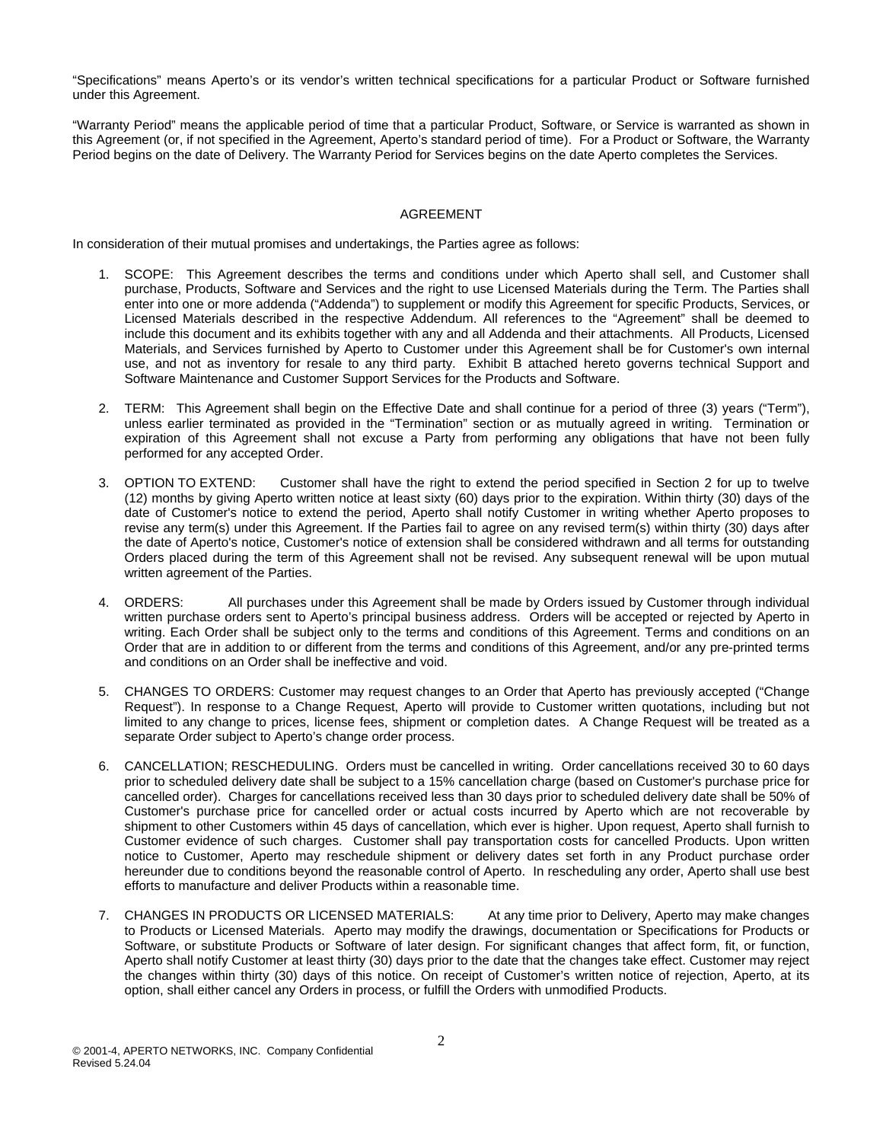"Specifications" means Aperto's or its vendor's written technical specifications for a particular Product or Software furnished under this Agreement.

"Warranty Period" means the applicable period of time that a particular Product, Software, or Service is warranted as shown in this Agreement (or, if not specified in the Agreement, Aperto's standard period of time). For a Product or Software, the Warranty Period begins on the date of Delivery. The Warranty Period for Services begins on the date Aperto completes the Services.

#### AGREEMENT

In consideration of their mutual promises and undertakings, the Parties agree as follows:

- 1. SCOPE: This Agreement describes the terms and conditions under which Aperto shall sell, and Customer shall purchase, Products, Software and Services and the right to use Licensed Materials during the Term. The Parties shall enter into one or more addenda ("Addenda") to supplement or modify this Agreement for specific Products, Services, or Licensed Materials described in the respective Addendum. All references to the "Agreement" shall be deemed to include this document and its exhibits together with any and all Addenda and their attachments. All Products, Licensed Materials, and Services furnished by Aperto to Customer under this Agreement shall be for Customer's own internal use, and not as inventory for resale to any third party. Exhibit B attached hereto governs technical Support and Software Maintenance and Customer Support Services for the Products and Software.
- 2. TERM: This Agreement shall begin on the Effective Date and shall continue for a period of three (3) years ("Term"), unless earlier terminated as provided in the "Termination" section or as mutually agreed in writing. Termination or expiration of this Agreement shall not excuse a Party from performing any obligations that have not been fully performed for any accepted Order.
- 3. OPTION TO EXTEND: Customer shall have the right to extend the period specified in Section 2 for up to twelve (12) months by giving Aperto written notice at least sixty (60) days prior to the expiration. Within thirty (30) days of the date of Customer's notice to extend the period, Aperto shall notify Customer in writing whether Aperto proposes to revise any term(s) under this Agreement. If the Parties fail to agree on any revised term(s) within thirty (30) days after the date of Aperto's notice, Customer's notice of extension shall be considered withdrawn and all terms for outstanding Orders placed during the term of this Agreement shall not be revised. Any subsequent renewal will be upon mutual written agreement of the Parties.
- 4. ORDERS: All purchases under this Agreement shall be made by Orders issued by Customer through individual written purchase orders sent to Aperto's principal business address. Orders will be accepted or rejected by Aperto in writing. Each Order shall be subject only to the terms and conditions of this Agreement. Terms and conditions on an Order that are in addition to or different from the terms and conditions of this Agreement, and/or any pre-printed terms and conditions on an Order shall be ineffective and void.
- 5. CHANGES TO ORDERS: Customer may request changes to an Order that Aperto has previously accepted ("Change Request"). In response to a Change Request, Aperto will provide to Customer written quotations, including but not limited to any change to prices, license fees, shipment or completion dates. A Change Request will be treated as a separate Order subject to Aperto's change order process.
- 6. CANCELLATION; RESCHEDULING. Orders must be cancelled in writing. Order cancellations received 30 to 60 days prior to scheduled delivery date shall be subject to a 15% cancellation charge (based on Customer's purchase price for cancelled order). Charges for cancellations received less than 30 days prior to scheduled delivery date shall be 50% of Customer's purchase price for cancelled order or actual costs incurred by Aperto which are not recoverable by shipment to other Customers within 45 days of cancellation, which ever is higher. Upon request, Aperto shall furnish to Customer evidence of such charges. Customer shall pay transportation costs for cancelled Products. Upon written notice to Customer, Aperto may reschedule shipment or delivery dates set forth in any Product purchase order hereunder due to conditions beyond the reasonable control of Aperto. In rescheduling any order, Aperto shall use best efforts to manufacture and deliver Products within a reasonable time.
- 7. CHANGES IN PRODUCTS OR LICENSED MATERIALS: At any time prior to Delivery, Aperto may make changes to Products or Licensed Materials. Aperto may modify the drawings, documentation or Specifications for Products or Software, or substitute Products or Software of later design. For significant changes that affect form, fit, or function, Aperto shall notify Customer at least thirty (30) days prior to the date that the changes take effect. Customer may reject the changes within thirty (30) days of this notice. On receipt of Customer's written notice of rejection, Aperto, at its option, shall either cancel any Orders in process, or fulfill the Orders with unmodified Products.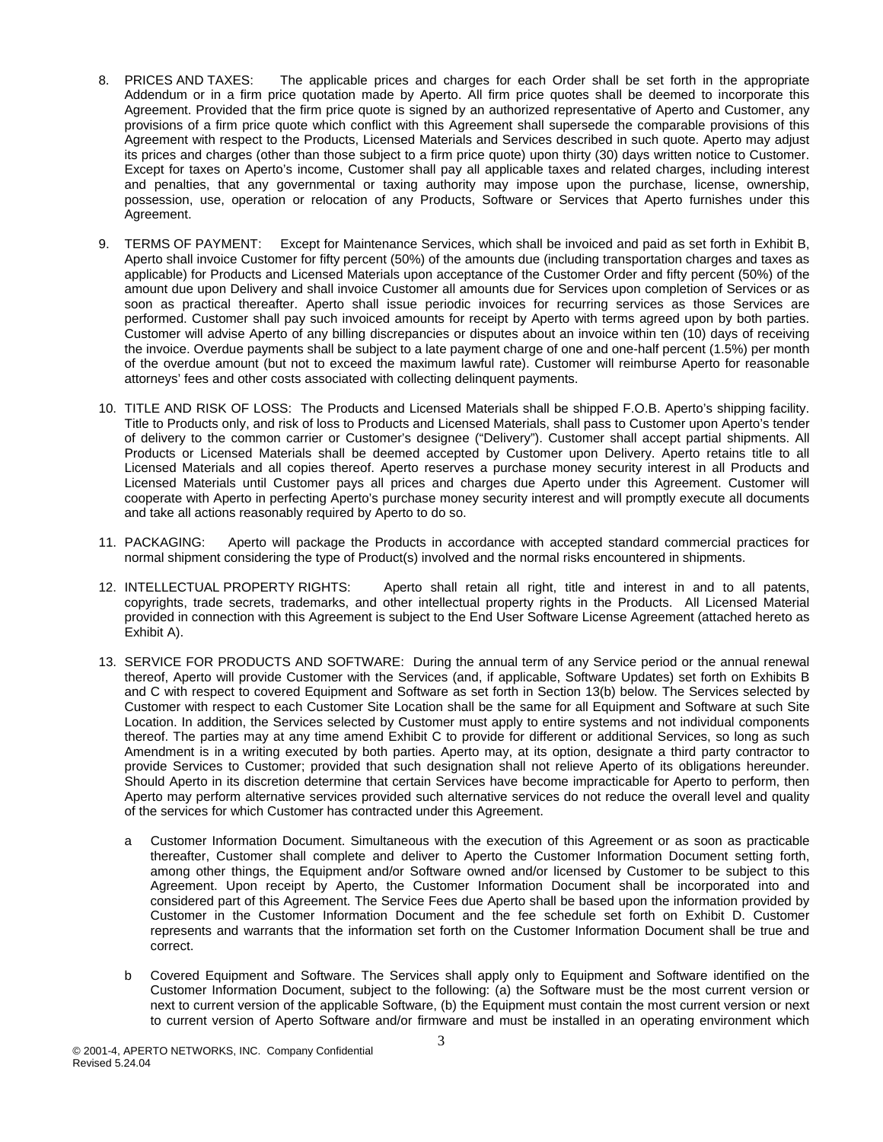- 8. PRICES AND TAXES: The applicable prices and charges for each Order shall be set forth in the appropriate Addendum or in a firm price quotation made by Aperto. All firm price quotes shall be deemed to incorporate this Agreement. Provided that the firm price quote is signed by an authorized representative of Aperto and Customer, any provisions of a firm price quote which conflict with this Agreement shall supersede the comparable provisions of this Agreement with respect to the Products, Licensed Materials and Services described in such quote. Aperto may adjust its prices and charges (other than those subject to a firm price quote) upon thirty (30) days written notice to Customer. Except for taxes on Aperto's income, Customer shall pay all applicable taxes and related charges, including interest and penalties, that any governmental or taxing authority may impose upon the purchase, license, ownership, possession, use, operation or relocation of any Products, Software or Services that Aperto furnishes under this Agreement.
- 9. TERMS OF PAYMENT: Except for Maintenance Services, which shall be invoiced and paid as set forth in Exhibit B, Aperto shall invoice Customer for fifty percent (50%) of the amounts due (including transportation charges and taxes as applicable) for Products and Licensed Materials upon acceptance of the Customer Order and fifty percent (50%) of the amount due upon Delivery and shall invoice Customer all amounts due for Services upon completion of Services or as soon as practical thereafter. Aperto shall issue periodic invoices for recurring services as those Services are performed. Customer shall pay such invoiced amounts for receipt by Aperto with terms agreed upon by both parties. Customer will advise Aperto of any billing discrepancies or disputes about an invoice within ten (10) days of receiving the invoice. Overdue payments shall be subject to a late payment charge of one and one-half percent (1.5%) per month of the overdue amount (but not to exceed the maximum lawful rate). Customer will reimburse Aperto for reasonable attorneys' fees and other costs associated with collecting delinquent payments.
- 10. TITLE AND RISK OF LOSS: The Products and Licensed Materials shall be shipped F.O.B. Aperto's shipping facility. Title to Products only, and risk of loss to Products and Licensed Materials, shall pass to Customer upon Aperto's tender of delivery to the common carrier or Customer's designee ("Delivery"). Customer shall accept partial shipments. All Products or Licensed Materials shall be deemed accepted by Customer upon Delivery. Aperto retains title to all Licensed Materials and all copies thereof. Aperto reserves a purchase money security interest in all Products and Licensed Materials until Customer pays all prices and charges due Aperto under this Agreement. Customer will cooperate with Aperto in perfecting Aperto's purchase money security interest and will promptly execute all documents and take all actions reasonably required by Aperto to do so.
- 11. PACKAGING: Aperto will package the Products in accordance with accepted standard commercial practices for normal shipment considering the type of Product(s) involved and the normal risks encountered in shipments.
- 12. INTELLECTUAL PROPERTY RIGHTS: Aperto shall retain all right, title and interest in and to all patents, copyrights, trade secrets, trademarks, and other intellectual property rights in the Products. All Licensed Material provided in connection with this Agreement is subject to the End User Software License Agreement (attached hereto as Exhibit A).
- 13. SERVICE FOR PRODUCTS AND SOFTWARE: During the annual term of any Service period or the annual renewal thereof, Aperto will provide Customer with the Services (and, if applicable, Software Updates) set forth on Exhibits B and C with respect to covered Equipment and Software as set forth in Section 13(b) below. The Services selected by Customer with respect to each Customer Site Location shall be the same for all Equipment and Software at such Site Location. In addition, the Services selected by Customer must apply to entire systems and not individual components thereof. The parties may at any time amend Exhibit C to provide for different or additional Services, so long as such Amendment is in a writing executed by both parties. Aperto may, at its option, designate a third party contractor to provide Services to Customer; provided that such designation shall not relieve Aperto of its obligations hereunder. Should Aperto in its discretion determine that certain Services have become impracticable for Aperto to perform, then Aperto may perform alternative services provided such alternative services do not reduce the overall level and quality of the services for which Customer has contracted under this Agreement.
	- a Customer Information Document. Simultaneous with the execution of this Agreement or as soon as practicable thereafter, Customer shall complete and deliver to Aperto the Customer Information Document setting forth, among other things, the Equipment and/or Software owned and/or licensed by Customer to be subject to this Agreement. Upon receipt by Aperto, the Customer Information Document shall be incorporated into and considered part of this Agreement. The Service Fees due Aperto shall be based upon the information provided by Customer in the Customer Information Document and the fee schedule set forth on Exhibit D. Customer represents and warrants that the information set forth on the Customer Information Document shall be true and correct.
	- b Covered Equipment and Software. The Services shall apply only to Equipment and Software identified on the Customer Information Document, subject to the following: (a) the Software must be the most current version or next to current version of the applicable Software, (b) the Equipment must contain the most current version or next to current version of Aperto Software and/or firmware and must be installed in an operating environment which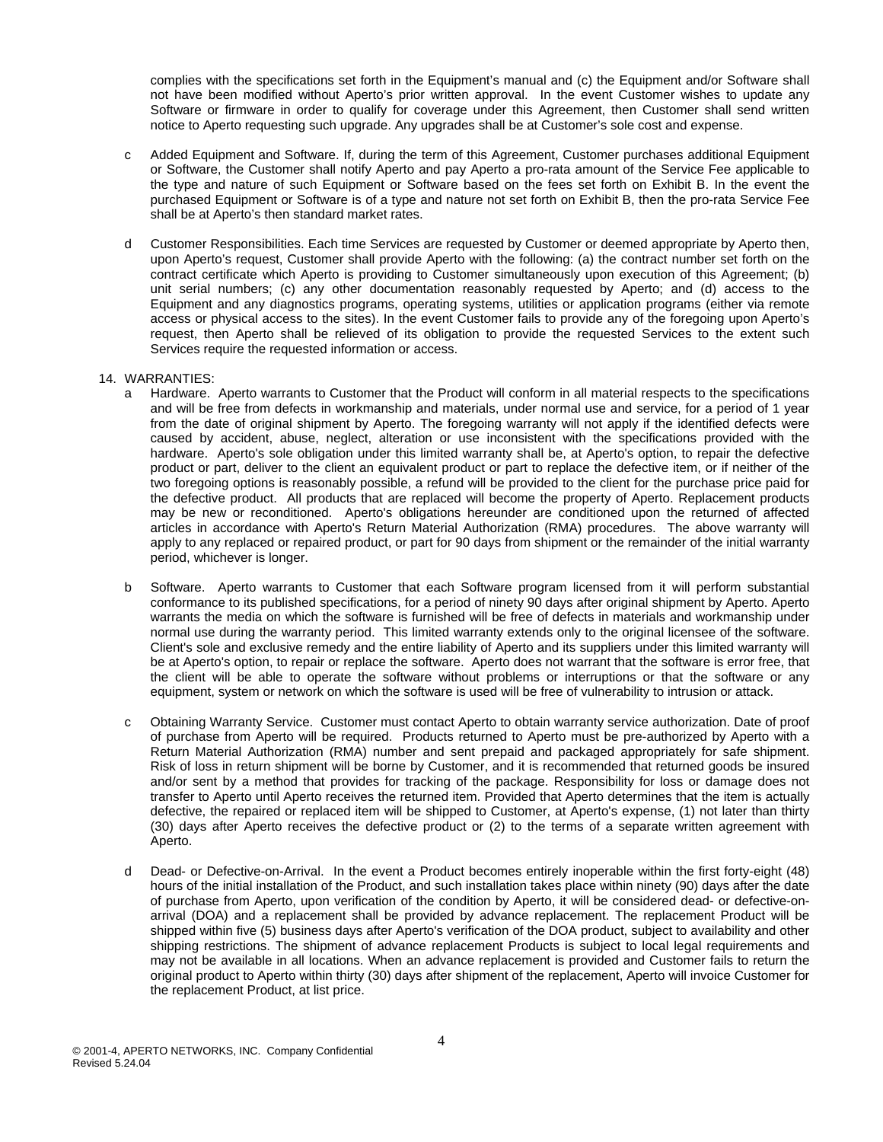complies with the specifications set forth in the Equipment's manual and (c) the Equipment and/or Software shall not have been modified without Aperto's prior written approval. In the event Customer wishes to update any Software or firmware in order to qualify for coverage under this Agreement, then Customer shall send written notice to Aperto requesting such upgrade. Any upgrades shall be at Customer's sole cost and expense.

- c Added Equipment and Software. If, during the term of this Agreement, Customer purchases additional Equipment or Software, the Customer shall notify Aperto and pay Aperto a pro-rata amount of the Service Fee applicable to the type and nature of such Equipment or Software based on the fees set forth on Exhibit B. In the event the purchased Equipment or Software is of a type and nature not set forth on Exhibit B, then the pro-rata Service Fee shall be at Aperto's then standard market rates.
- d Customer Responsibilities. Each time Services are requested by Customer or deemed appropriate by Aperto then, upon Aperto's request, Customer shall provide Aperto with the following: (a) the contract number set forth on the contract certificate which Aperto is providing to Customer simultaneously upon execution of this Agreement; (b) unit serial numbers; (c) any other documentation reasonably requested by Aperto; and (d) access to the Equipment and any diagnostics programs, operating systems, utilities or application programs (either via remote access or physical access to the sites). In the event Customer fails to provide any of the foregoing upon Aperto's request, then Aperto shall be relieved of its obligation to provide the requested Services to the extent such Services require the requested information or access.

#### 14. WARRANTIES:

- a Hardware. Aperto warrants to Customer that the Product will conform in all material respects to the specifications and will be free from defects in workmanship and materials, under normal use and service, for a period of 1 year from the date of original shipment by Aperto. The foregoing warranty will not apply if the identified defects were caused by accident, abuse, neglect, alteration or use inconsistent with the specifications provided with the hardware. Aperto's sole obligation under this limited warranty shall be, at Aperto's option, to repair the defective product or part, deliver to the client an equivalent product or part to replace the defective item, or if neither of the two foregoing options is reasonably possible, a refund will be provided to the client for the purchase price paid for the defective product. All products that are replaced will become the property of Aperto. Replacement products may be new or reconditioned. Aperto's obligations hereunder are conditioned upon the returned of affected articles in accordance with Aperto's Return Material Authorization (RMA) procedures. The above warranty will apply to any replaced or repaired product, or part for 90 days from shipment or the remainder of the initial warranty period, whichever is longer.
- b Software. Aperto warrants to Customer that each Software program licensed from it will perform substantial conformance to its published specifications, for a period of ninety 90 days after original shipment by Aperto. Aperto warrants the media on which the software is furnished will be free of defects in materials and workmanship under normal use during the warranty period. This limited warranty extends only to the original licensee of the software. Client's sole and exclusive remedy and the entire liability of Aperto and its suppliers under this limited warranty will be at Aperto's option, to repair or replace the software. Aperto does not warrant that the software is error free, that the client will be able to operate the software without problems or interruptions or that the software or any equipment, system or network on which the software is used will be free of vulnerability to intrusion or attack.
- c Obtaining Warranty Service. Customer must contact Aperto to obtain warranty service authorization. Date of proof of purchase from Aperto will be required. Products returned to Aperto must be pre-authorized by Aperto with a Return Material Authorization (RMA) number and sent prepaid and packaged appropriately for safe shipment. Risk of loss in return shipment will be borne by Customer, and it is recommended that returned goods be insured and/or sent by a method that provides for tracking of the package. Responsibility for loss or damage does not transfer to Aperto until Aperto receives the returned item. Provided that Aperto determines that the item is actually defective, the repaired or replaced item will be shipped to Customer, at Aperto's expense, (1) not later than thirty (30) days after Aperto receives the defective product or (2) to the terms of a separate written agreement with Aperto.
- d Dead- or Defective-on-Arrival. In the event a Product becomes entirely inoperable within the first forty-eight (48) hours of the initial installation of the Product, and such installation takes place within ninety (90) days after the date of purchase from Aperto, upon verification of the condition by Aperto, it will be considered dead- or defective-onarrival (DOA) and a replacement shall be provided by advance replacement. The replacement Product will be shipped within five (5) business days after Aperto's verification of the DOA product, subject to availability and other shipping restrictions. The shipment of advance replacement Products is subject to local legal requirements and may not be available in all locations. When an advance replacement is provided and Customer fails to return the original product to Aperto within thirty (30) days after shipment of the replacement, Aperto will invoice Customer for the replacement Product, at list price.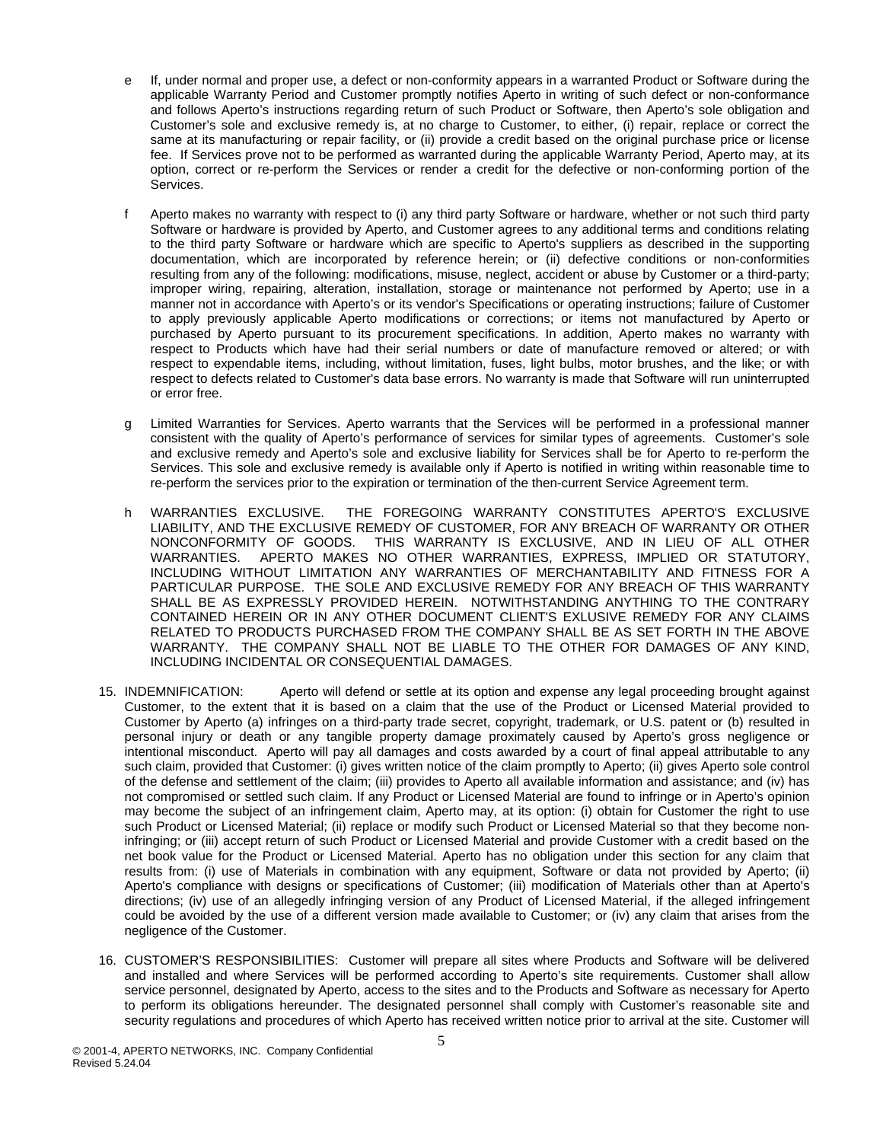- e If, under normal and proper use, a defect or non-conformity appears in a warranted Product or Software during the applicable Warranty Period and Customer promptly notifies Aperto in writing of such defect or non-conformance and follows Aperto's instructions regarding return of such Product or Software, then Aperto's sole obligation and Customer's sole and exclusive remedy is, at no charge to Customer, to either, (i) repair, replace or correct the same at its manufacturing or repair facility, or (ii) provide a credit based on the original purchase price or license fee. If Services prove not to be performed as warranted during the applicable Warranty Period, Aperto may, at its option, correct or re-perform the Services or render a credit for the defective or non-conforming portion of the Services.
- f Aperto makes no warranty with respect to (i) any third party Software or hardware, whether or not such third party Software or hardware is provided by Aperto, and Customer agrees to any additional terms and conditions relating to the third party Software or hardware which are specific to Aperto's suppliers as described in the supporting documentation, which are incorporated by reference herein; or (ii) defective conditions or non-conformities resulting from any of the following: modifications, misuse, neglect, accident or abuse by Customer or a third-party; improper wiring, repairing, alteration, installation, storage or maintenance not performed by Aperto; use in a manner not in accordance with Aperto's or its vendor's Specifications or operating instructions; failure of Customer to apply previously applicable Aperto modifications or corrections; or items not manufactured by Aperto or purchased by Aperto pursuant to its procurement specifications. In addition, Aperto makes no warranty with respect to Products which have had their serial numbers or date of manufacture removed or altered; or with respect to expendable items, including, without limitation, fuses, light bulbs, motor brushes, and the like; or with respect to defects related to Customer's data base errors. No warranty is made that Software will run uninterrupted or error free.
- g Limited Warranties for Services. Aperto warrants that the Services will be performed in a professional manner consistent with the quality of Aperto's performance of services for similar types of agreements. Customer's sole and exclusive remedy and Aperto's sole and exclusive liability for Services shall be for Aperto to re-perform the Services. This sole and exclusive remedy is available only if Aperto is notified in writing within reasonable time to re-perform the services prior to the expiration or termination of the then-current Service Agreement term.
- h WARRANTIES EXCLUSIVE. THE FOREGOING WARRANTY CONSTITUTES APERTO'S EXCLUSIVE LIABILITY, AND THE EXCLUSIVE REMEDY OF CUSTOMER, FOR ANY BREACH OF WARRANTY OR OTHER NONCONFORMITY OF GOODS. THIS WARRANTY IS EXCLUSIVE, AND IN LIEU OF ALL OTHER WARRANTIES. APERTO MAKES NO OTHER WARRANTIES, EXPRESS, IMPLIED OR STATUTORY, INCLUDING WITHOUT LIMITATION ANY WARRANTIES OF MERCHANTABILITY AND FITNESS FOR A PARTICULAR PURPOSE. THE SOLE AND EXCLUSIVE REMEDY FOR ANY BREACH OF THIS WARRANTY SHALL BE AS EXPRESSLY PROVIDED HEREIN. NOTWITHSTANDING ANYTHING TO THE CONTRARY CONTAINED HEREIN OR IN ANY OTHER DOCUMENT CLIENT'S EXLUSIVE REMEDY FOR ANY CLAIMS RELATED TO PRODUCTS PURCHASED FROM THE COMPANY SHALL BE AS SET FORTH IN THE ABOVE WARRANTY. THE COMPANY SHALL NOT BE LIABLE TO THE OTHER FOR DAMAGES OF ANY KIND, INCLUDING INCIDENTAL OR CONSEQUENTIAL DAMAGES.
- 15. INDEMNIFICATION: Aperto will defend or settle at its option and expense any legal proceeding brought against Customer, to the extent that it is based on a claim that the use of the Product or Licensed Material provided to Customer by Aperto (a) infringes on a third-party trade secret, copyright, trademark, or U.S. patent or (b) resulted in personal injury or death or any tangible property damage proximately caused by Aperto's gross negligence or intentional misconduct. Aperto will pay all damages and costs awarded by a court of final appeal attributable to any such claim, provided that Customer: (i) gives written notice of the claim promptly to Aperto; (ii) gives Aperto sole control of the defense and settlement of the claim; (iii) provides to Aperto all available information and assistance; and (iv) has not compromised or settled such claim. If any Product or Licensed Material are found to infringe or in Aperto's opinion may become the subject of an infringement claim, Aperto may, at its option: (i) obtain for Customer the right to use such Product or Licensed Material; (ii) replace or modify such Product or Licensed Material so that they become noninfringing; or (iii) accept return of such Product or Licensed Material and provide Customer with a credit based on the net book value for the Product or Licensed Material. Aperto has no obligation under this section for any claim that results from: (i) use of Materials in combination with any equipment, Software or data not provided by Aperto; (ii) Aperto's compliance with designs or specifications of Customer; (iii) modification of Materials other than at Aperto's directions; (iv) use of an allegedly infringing version of any Product of Licensed Material, if the alleged infringement could be avoided by the use of a different version made available to Customer; or (iv) any claim that arises from the negligence of the Customer.
- 16. CUSTOMER'S RESPONSIBILITIES: Customer will prepare all sites where Products and Software will be delivered and installed and where Services will be performed according to Aperto's site requirements. Customer shall allow service personnel, designated by Aperto, access to the sites and to the Products and Software as necessary for Aperto to perform its obligations hereunder. The designated personnel shall comply with Customer's reasonable site and security regulations and procedures of which Aperto has received written notice prior to arrival at the site. Customer will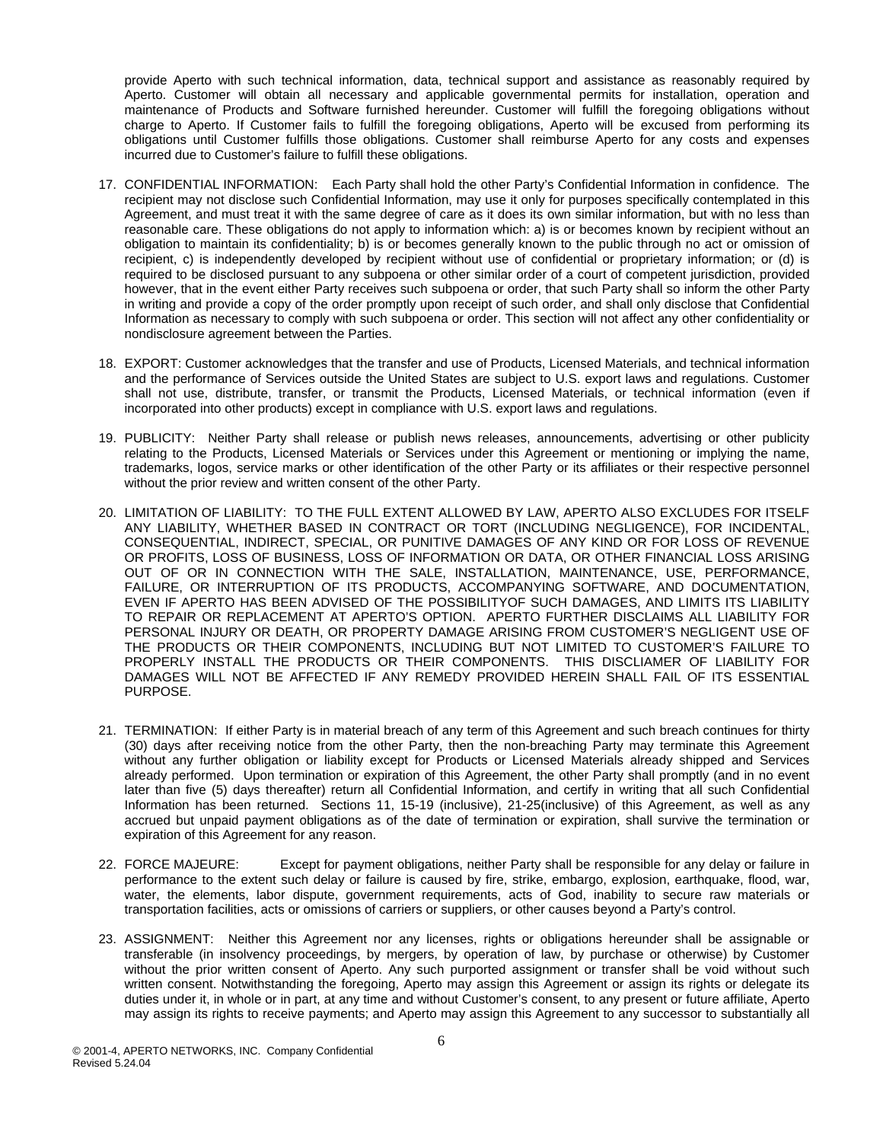provide Aperto with such technical information, data, technical support and assistance as reasonably required by Aperto. Customer will obtain all necessary and applicable governmental permits for installation, operation and maintenance of Products and Software furnished hereunder. Customer will fulfill the foregoing obligations without charge to Aperto. If Customer fails to fulfill the foregoing obligations, Aperto will be excused from performing its obligations until Customer fulfills those obligations. Customer shall reimburse Aperto for any costs and expenses incurred due to Customer's failure to fulfill these obligations.

- 17. CONFIDENTIAL INFORMATION: Each Party shall hold the other Party's Confidential Information in confidence. The recipient may not disclose such Confidential Information, may use it only for purposes specifically contemplated in this Agreement, and must treat it with the same degree of care as it does its own similar information, but with no less than reasonable care. These obligations do not apply to information which: a) is or becomes known by recipient without an obligation to maintain its confidentiality; b) is or becomes generally known to the public through no act or omission of recipient, c) is independently developed by recipient without use of confidential or proprietary information; or (d) is required to be disclosed pursuant to any subpoena or other similar order of a court of competent jurisdiction, provided however, that in the event either Party receives such subpoena or order, that such Party shall so inform the other Party in writing and provide a copy of the order promptly upon receipt of such order, and shall only disclose that Confidential Information as necessary to comply with such subpoena or order. This section will not affect any other confidentiality or nondisclosure agreement between the Parties.
- 18. EXPORT: Customer acknowledges that the transfer and use of Products, Licensed Materials, and technical information and the performance of Services outside the United States are subject to U.S. export laws and regulations. Customer shall not use, distribute, transfer, or transmit the Products, Licensed Materials, or technical information (even if incorporated into other products) except in compliance with U.S. export laws and regulations.
- 19. PUBLICITY: Neither Party shall release or publish news releases, announcements, advertising or other publicity relating to the Products, Licensed Materials or Services under this Agreement or mentioning or implying the name, trademarks, logos, service marks or other identification of the other Party or its affiliates or their respective personnel without the prior review and written consent of the other Party.
- 20. LIMITATION OF LIABILITY: TO THE FULL EXTENT ALLOWED BY LAW, APERTO ALSO EXCLUDES FOR ITSELF ANY LIABILITY, WHETHER BASED IN CONTRACT OR TORT (INCLUDING NEGLIGENCE), FOR INCIDENTAL, CONSEQUENTIAL, INDIRECT, SPECIAL, OR PUNITIVE DAMAGES OF ANY KIND OR FOR LOSS OF REVENUE OR PROFITS, LOSS OF BUSINESS, LOSS OF INFORMATION OR DATA, OR OTHER FINANCIAL LOSS ARISING OUT OF OR IN CONNECTION WITH THE SALE, INSTALLATION, MAINTENANCE, USE, PERFORMANCE, FAILURE, OR INTERRUPTION OF ITS PRODUCTS, ACCOMPANYING SOFTWARE, AND DOCUMENTATION, EVEN IF APERTO HAS BEEN ADVISED OF THE POSSIBILITYOF SUCH DAMAGES, AND LIMITS ITS LIABILITY TO REPAIR OR REPLACEMENT AT APERTO'S OPTION. APERTO FURTHER DISCLAIMS ALL LIABILITY FOR PERSONAL INJURY OR DEATH, OR PROPERTY DAMAGE ARISING FROM CUSTOMER'S NEGLIGENT USE OF THE PRODUCTS OR THEIR COMPONENTS, INCLUDING BUT NOT LIMITED TO CUSTOMER'S FAILURE TO PROPERLY INSTALL THE PRODUCTS OR THEIR COMPONENTS. THIS DISCLIAMER OF LIABILITY FOR DAMAGES WILL NOT BE AFFECTED IF ANY REMEDY PROVIDED HEREIN SHALL FAIL OF ITS ESSENTIAL PURPOSE.
- 21. TERMINATION: If either Party is in material breach of any term of this Agreement and such breach continues for thirty (30) days after receiving notice from the other Party, then the non-breaching Party may terminate this Agreement without any further obligation or liability except for Products or Licensed Materials already shipped and Services already performed. Upon termination or expiration of this Agreement, the other Party shall promptly (and in no event later than five (5) days thereafter) return all Confidential Information, and certify in writing that all such Confidential Information has been returned. Sections 11, 15-19 (inclusive), 21-25(inclusive) of this Agreement, as well as any accrued but unpaid payment obligations as of the date of termination or expiration, shall survive the termination or expiration of this Agreement for any reason.
- 22. FORCE MAJEURE: Except for payment obligations, neither Party shall be responsible for any delay or failure in performance to the extent such delay or failure is caused by fire, strike, embargo, explosion, earthquake, flood, war, water, the elements, labor dispute, government requirements, acts of God, inability to secure raw materials or transportation facilities, acts or omissions of carriers or suppliers, or other causes beyond a Party's control.
- 23. ASSIGNMENT: Neither this Agreement nor any licenses, rights or obligations hereunder shall be assignable or transferable (in insolvency proceedings, by mergers, by operation of law, by purchase or otherwise) by Customer without the prior written consent of Aperto. Any such purported assignment or transfer shall be void without such written consent. Notwithstanding the foregoing, Aperto may assign this Agreement or assign its rights or delegate its duties under it, in whole or in part, at any time and without Customer's consent, to any present or future affiliate, Aperto may assign its rights to receive payments; and Aperto may assign this Agreement to any successor to substantially all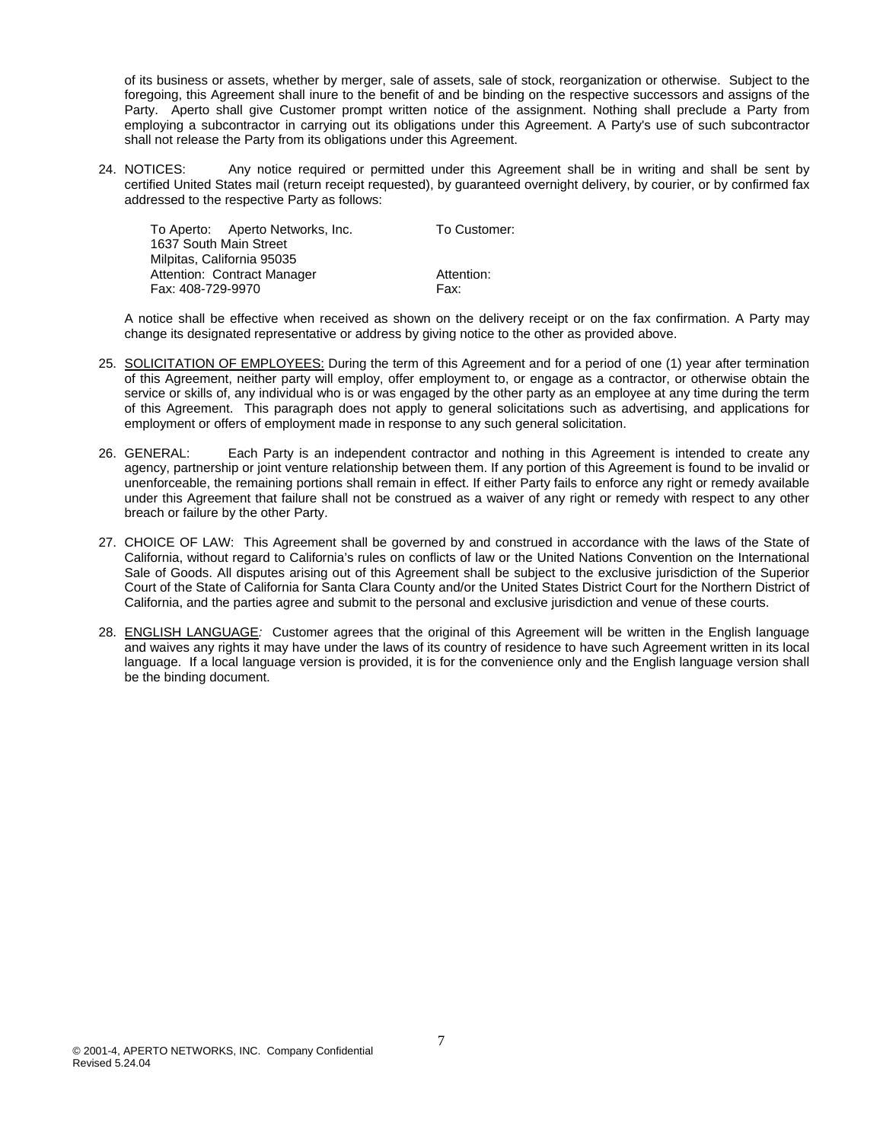of its business or assets, whether by merger, sale of assets, sale of stock, reorganization or otherwise. Subject to the foregoing, this Agreement shall inure to the benefit of and be binding on the respective successors and assigns of the Party. Aperto shall give Customer prompt written notice of the assignment. Nothing shall preclude a Party from employing a subcontractor in carrying out its obligations under this Agreement. A Party's use of such subcontractor shall not release the Party from its obligations under this Agreement.

24. NOTICES: Any notice required or permitted under this Agreement shall be in writing and shall be sent by certified United States mail (return receipt requested), by guaranteed overnight delivery, by courier, or by confirmed fax addressed to the respective Party as follows:

| To Customer:           |  |  |  |  |
|------------------------|--|--|--|--|
| 1637 South Main Street |  |  |  |  |
|                        |  |  |  |  |
| Attention:             |  |  |  |  |
| Fax:                   |  |  |  |  |
|                        |  |  |  |  |

A notice shall be effective when received as shown on the delivery receipt or on the fax confirmation. A Party may change its designated representative or address by giving notice to the other as provided above.

- 25. SOLICITATION OF EMPLOYEES: During the term of this Agreement and for a period of one (1) year after termination of this Agreement, neither party will employ, offer employment to, or engage as a contractor, or otherwise obtain the service or skills of, any individual who is or was engaged by the other party as an employee at any time during the term of this Agreement. This paragraph does not apply to general solicitations such as advertising, and applications for employment or offers of employment made in response to any such general solicitation.
- 26. GENERAL: Each Party is an independent contractor and nothing in this Agreement is intended to create any agency, partnership or joint venture relationship between them. If any portion of this Agreement is found to be invalid or unenforceable, the remaining portions shall remain in effect. If either Party fails to enforce any right or remedy available under this Agreement that failure shall not be construed as a waiver of any right or remedy with respect to any other breach or failure by the other Party.
- 27. CHOICE OF LAW: This Agreement shall be governed by and construed in accordance with the laws of the State of California, without regard to California's rules on conflicts of law or the United Nations Convention on the International Sale of Goods. All disputes arising out of this Agreement shall be subject to the exclusive jurisdiction of the Superior Court of the State of California for Santa Clara County and/or the United States District Court for the Northern District of California, and the parties agree and submit to the personal and exclusive jurisdiction and venue of these courts.
- 28. ENGLISH LANGUAGE*:* Customer agrees that the original of this Agreement will be written in the English language and waives any rights it may have under the laws of its country of residence to have such Agreement written in its local language. If a local language version is provided, it is for the convenience only and the English language version shall be the binding document.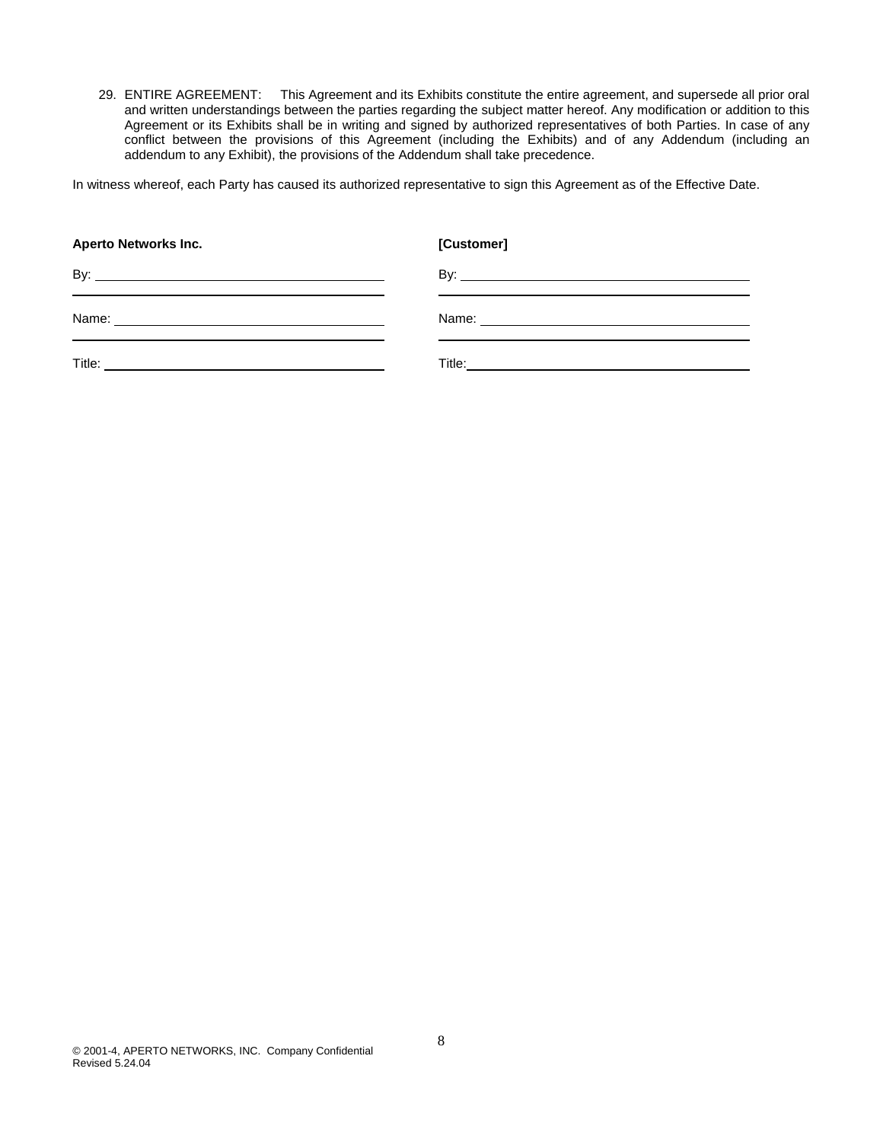29. ENTIRE AGREEMENT: This Agreement and its Exhibits constitute the entire agreement, and supersede all prior oral and written understandings between the parties regarding the subject matter hereof. Any modification or addition to this Agreement or its Exhibits shall be in writing and signed by authorized representatives of both Parties. In case of any conflict between the provisions of this Agreement (including the Exhibits) and of any Addendum (including an addendum to any Exhibit), the provisions of the Addendum shall take precedence.

In witness whereof, each Party has caused its authorized representative to sign this Agreement as of the Effective Date.

| <b>Aperto Networks Inc.</b>                                                                                           | [Customer]          |
|-----------------------------------------------------------------------------------------------------------------------|---------------------|
| <u> 1989 - Johann Stein, markin sanadi masjid ayyukara sa masjid ayyukara sa masjid ayyukara sa masjid ayyukara s</u> | By: $\qquad \qquad$ |
|                                                                                                                       |                     |
|                                                                                                                       |                     |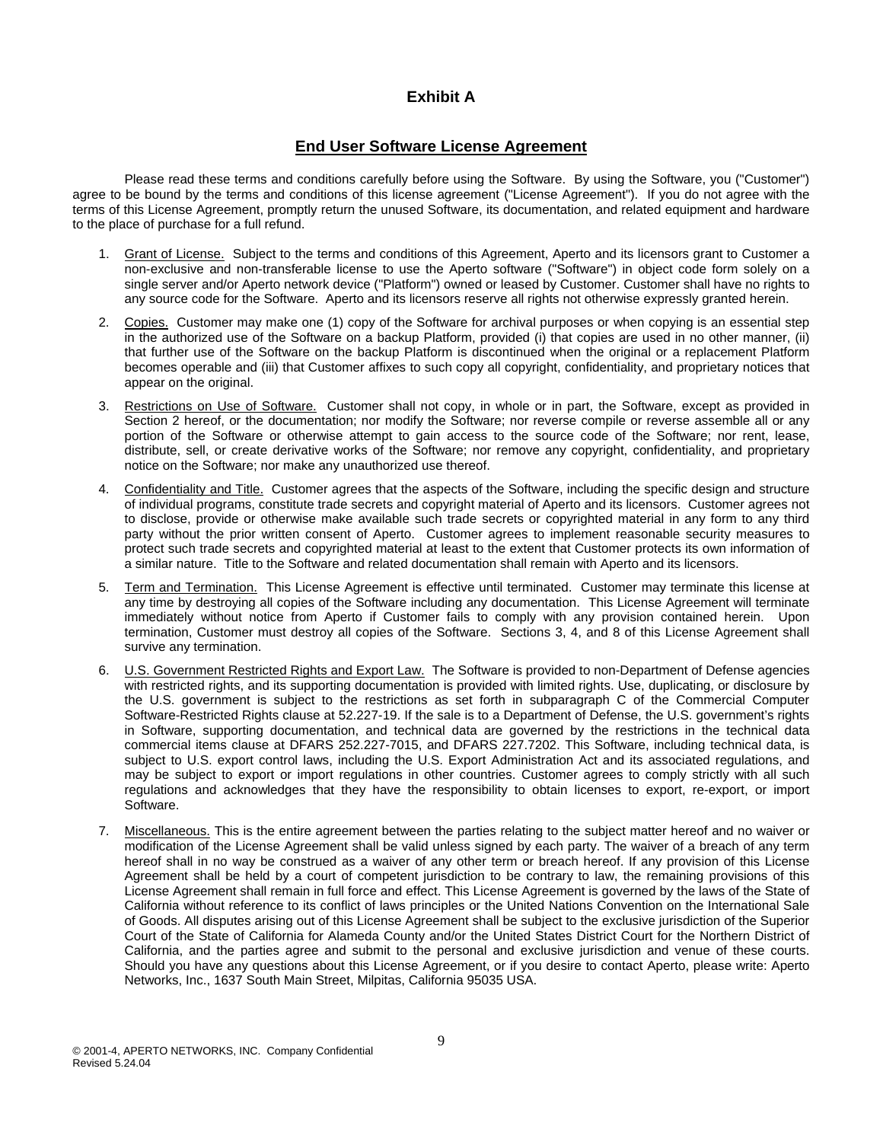## **Exhibit A**

## **End User Software License Agreement**

Please read these terms and conditions carefully before using the Software. By using the Software, you ("Customer") agree to be bound by the terms and conditions of this license agreement ("License Agreement"). If you do not agree with the terms of this License Agreement, promptly return the unused Software, its documentation, and related equipment and hardware to the place of purchase for a full refund.

- 1. Grant of License. Subject to the terms and conditions of this Agreement, Aperto and its licensors grant to Customer a non-exclusive and non-transferable license to use the Aperto software ("Software") in object code form solely on a single server and/or Aperto network device ("Platform") owned or leased by Customer. Customer shall have no rights to any source code for the Software. Aperto and its licensors reserve all rights not otherwise expressly granted herein.
- 2. Copies. Customer may make one (1) copy of the Software for archival purposes or when copying is an essential step in the authorized use of the Software on a backup Platform, provided (i) that copies are used in no other manner, (ii) that further use of the Software on the backup Platform is discontinued when the original or a replacement Platform becomes operable and (iii) that Customer affixes to such copy all copyright, confidentiality, and proprietary notices that appear on the original.
- 3. Restrictions on Use of Software. Customer shall not copy, in whole or in part, the Software, except as provided in Section 2 hereof, or the documentation; nor modify the Software; nor reverse compile or reverse assemble all or any portion of the Software or otherwise attempt to gain access to the source code of the Software; nor rent, lease, distribute, sell, or create derivative works of the Software; nor remove any copyright, confidentiality, and proprietary notice on the Software; nor make any unauthorized use thereof.
- 4. Confidentiality and Title. Customer agrees that the aspects of the Software, including the specific design and structure of individual programs, constitute trade secrets and copyright material of Aperto and its licensors. Customer agrees not to disclose, provide or otherwise make available such trade secrets or copyrighted material in any form to any third party without the prior written consent of Aperto. Customer agrees to implement reasonable security measures to protect such trade secrets and copyrighted material at least to the extent that Customer protects its own information of a similar nature. Title to the Software and related documentation shall remain with Aperto and its licensors.
- 5. Term and Termination. This License Agreement is effective until terminated. Customer may terminate this license at any time by destroying all copies of the Software including any documentation. This License Agreement will terminate immediately without notice from Aperto if Customer fails to comply with any provision contained herein. Upon termination, Customer must destroy all copies of the Software. Sections 3, 4, and 8 of this License Agreement shall survive any termination.
- 6. U.S. Government Restricted Rights and Export Law. The Software is provided to non-Department of Defense agencies with restricted rights, and its supporting documentation is provided with limited rights. Use, duplicating, or disclosure by the U.S. government is subject to the restrictions as set forth in subparagraph C of the Commercial Computer Software-Restricted Rights clause at 52.227-19. If the sale is to a Department of Defense, the U.S. government's rights in Software, supporting documentation, and technical data are governed by the restrictions in the technical data commercial items clause at DFARS 252.227-7015, and DFARS 227.7202. This Software, including technical data, is subject to U.S. export control laws, including the U.S. Export Administration Act and its associated regulations, and may be subject to export or import regulations in other countries. Customer agrees to comply strictly with all such regulations and acknowledges that they have the responsibility to obtain licenses to export, re-export, or import Software.
- 7. Miscellaneous. This is the entire agreement between the parties relating to the subject matter hereof and no waiver or modification of the License Agreement shall be valid unless signed by each party. The waiver of a breach of any term hereof shall in no way be construed as a waiver of any other term or breach hereof. If any provision of this License Agreement shall be held by a court of competent jurisdiction to be contrary to law, the remaining provisions of this License Agreement shall remain in full force and effect. This License Agreement is governed by the laws of the State of California without reference to its conflict of laws principles or the United Nations Convention on the International Sale of Goods. All disputes arising out of this License Agreement shall be subject to the exclusive jurisdiction of the Superior Court of the State of California for Alameda County and/or the United States District Court for the Northern District of California, and the parties agree and submit to the personal and exclusive jurisdiction and venue of these courts. Should you have any questions about this License Agreement, or if you desire to contact Aperto, please write: Aperto Networks, Inc., 1637 South Main Street, Milpitas, California 95035 USA.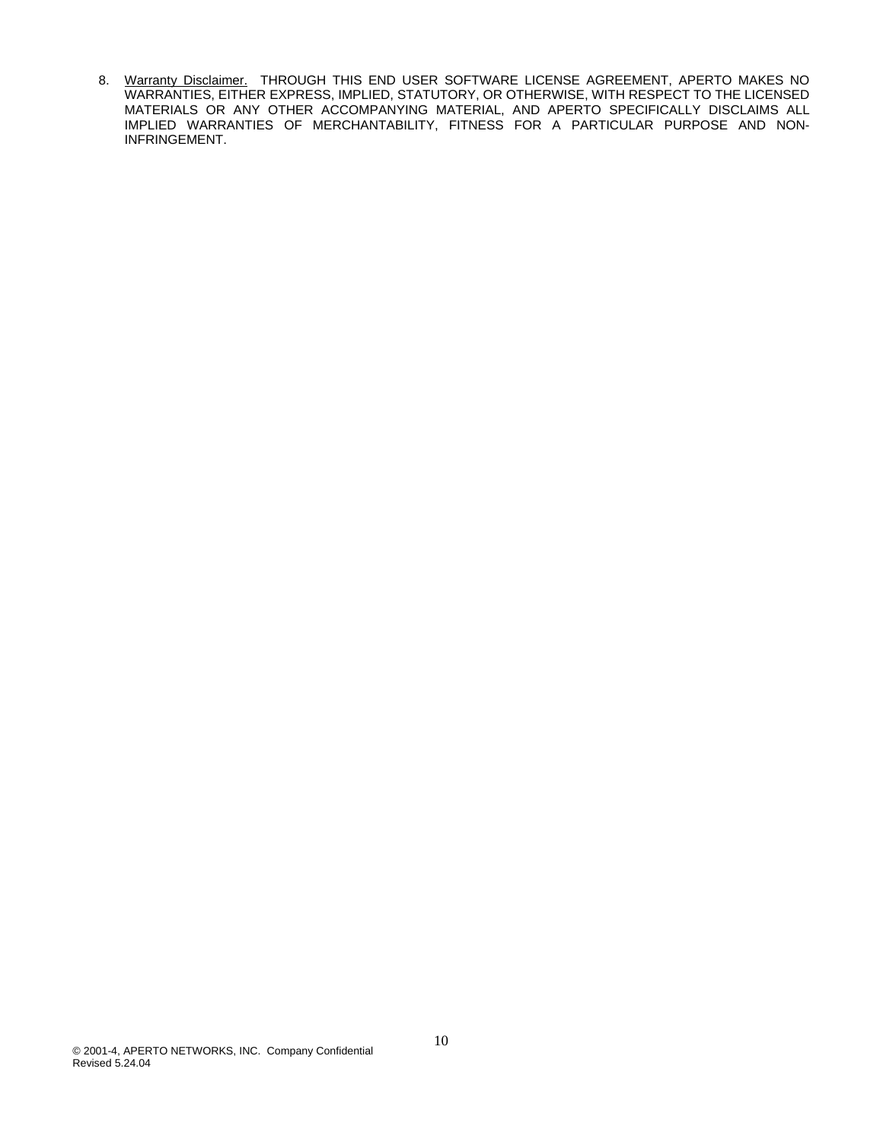8. Warranty Disclaimer. THROUGH THIS END USER SOFTWARE LICENSE AGREEMENT, APERTO MAKES NO WARRANTIES, EITHER EXPRESS, IMPLIED, STATUTORY, OR OTHERWISE, WITH RESPECT TO THE LICENSED MATERIALS OR ANY OTHER ACCOMPANYING MATERIAL, AND APERTO SPECIFICALLY DISCLAIMS ALL IMPLIED WARRANTIES OF MERCHANTABILITY, FITNESS FOR A PARTICULAR PURPOSE AND NON-INFRINGEMENT.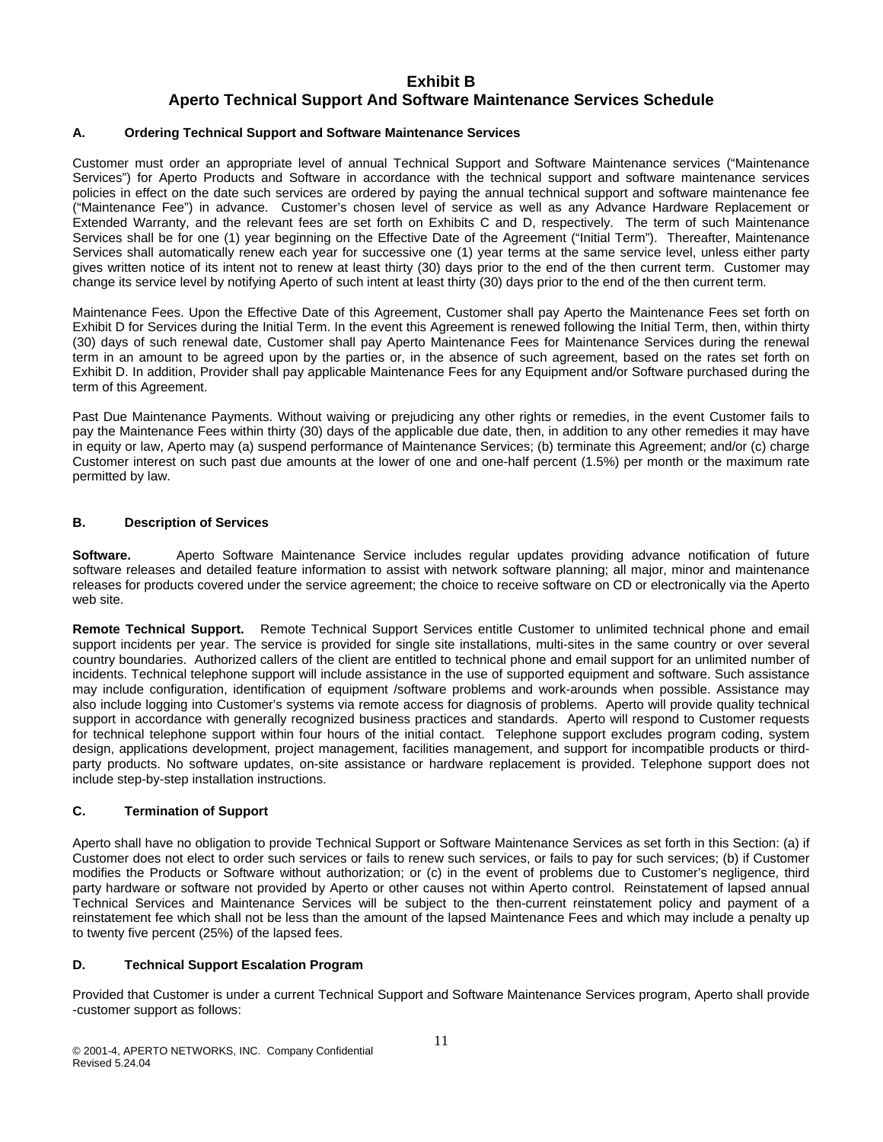## **Exhibit B Aperto Technical Support And Software Maintenance Services Schedule**

#### **A. Ordering Technical Support and Software Maintenance Services**

Customer must order an appropriate level of annual Technical Support and Software Maintenance services ("Maintenance Services") for Aperto Products and Software in accordance with the technical support and software maintenance services policies in effect on the date such services are ordered by paying the annual technical support and software maintenance fee ("Maintenance Fee") in advance. Customer's chosen level of service as well as any Advance Hardware Replacement or Extended Warranty, and the relevant fees are set forth on Exhibits C and D, respectively. The term of such Maintenance Services shall be for one (1) year beginning on the Effective Date of the Agreement ("Initial Term"). Thereafter, Maintenance Services shall automatically renew each year for successive one (1) year terms at the same service level, unless either party gives written notice of its intent not to renew at least thirty (30) days prior to the end of the then current term. Customer may change its service level by notifying Aperto of such intent at least thirty (30) days prior to the end of the then current term.

Maintenance Fees. Upon the Effective Date of this Agreement, Customer shall pay Aperto the Maintenance Fees set forth on Exhibit D for Services during the Initial Term. In the event this Agreement is renewed following the Initial Term, then, within thirty (30) days of such renewal date, Customer shall pay Aperto Maintenance Fees for Maintenance Services during the renewal term in an amount to be agreed upon by the parties or, in the absence of such agreement, based on the rates set forth on Exhibit D. In addition, Provider shall pay applicable Maintenance Fees for any Equipment and/or Software purchased during the term of this Agreement.

Past Due Maintenance Payments. Without waiving or prejudicing any other rights or remedies, in the event Customer fails to pay the Maintenance Fees within thirty (30) days of the applicable due date, then, in addition to any other remedies it may have in equity or law, Aperto may (a) suspend performance of Maintenance Services; (b) terminate this Agreement; and/or (c) charge Customer interest on such past due amounts at the lower of one and one-half percent (1.5%) per month or the maximum rate permitted by law.

#### **B. Description of Services**

**Software.** Aperto Software Maintenance Service includes regular updates providing advance notification of future software releases and detailed feature information to assist with network software planning; all major, minor and maintenance releases for products covered under the service agreement; the choice to receive software on CD or electronically via the Aperto web site.

**Remote Technical Support.** Remote Technical Support Services entitle Customer to unlimited technical phone and email support incidents per year. The service is provided for single site installations, multi-sites in the same country or over several country boundaries. Authorized callers of the client are entitled to technical phone and email support for an unlimited number of incidents. Technical telephone support will include assistance in the use of supported equipment and software. Such assistance may include configuration, identification of equipment /software problems and work-arounds when possible. Assistance may also include logging into Customer's systems via remote access for diagnosis of problems. Aperto will provide quality technical support in accordance with generally recognized business practices and standards. Aperto will respond to Customer requests for technical telephone support within four hours of the initial contact. Telephone support excludes program coding, system design, applications development, project management, facilities management, and support for incompatible products or thirdparty products. No software updates, on-site assistance or hardware replacement is provided. Telephone support does not include step-by-step installation instructions.

### **C. Termination of Support**

Aperto shall have no obligation to provide Technical Support or Software Maintenance Services as set forth in this Section: (a) if Customer does not elect to order such services or fails to renew such services, or fails to pay for such services; (b) if Customer modifies the Products or Software without authorization; or (c) in the event of problems due to Customer's negligence, third party hardware or software not provided by Aperto or other causes not within Aperto control. Reinstatement of lapsed annual Technical Services and Maintenance Services will be subject to the then-current reinstatement policy and payment of a reinstatement fee which shall not be less than the amount of the lapsed Maintenance Fees and which may include a penalty up to twenty five percent (25%) of the lapsed fees.

### **D. Technical Support Escalation Program**

Provided that Customer is under a current Technical Support and Software Maintenance Services program, Aperto shall provide -customer support as follows: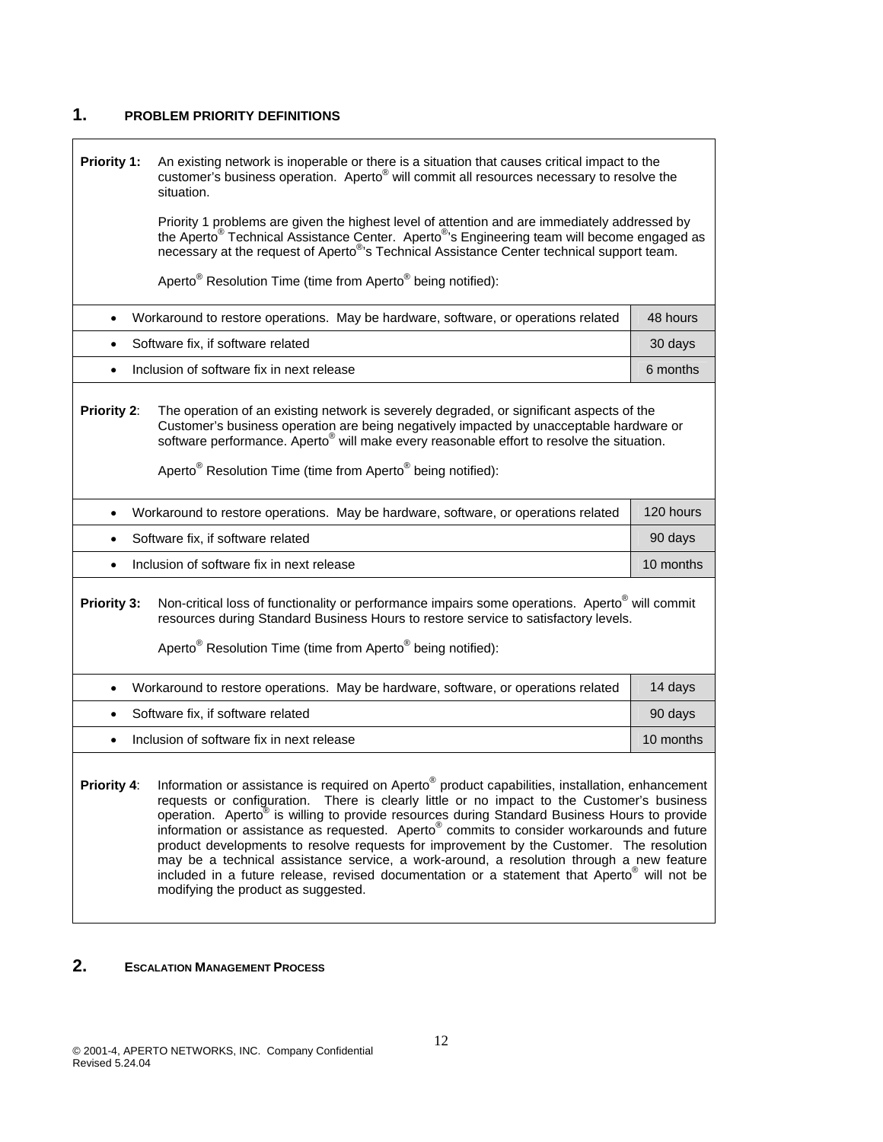## **1. PROBLEM PRIORITY DEFINITIONS**

 $\Gamma$ 

| Priority 1:                                                                                                                                                                                                                                                                                                                          | An existing network is inoperable or there is a situation that causes critical impact to the<br>customer's business operation. Aperto <sup>®</sup> will commit all resources necessary to resolve the<br>situation.                                                                                                                                                                                |           |  |  |  |
|--------------------------------------------------------------------------------------------------------------------------------------------------------------------------------------------------------------------------------------------------------------------------------------------------------------------------------------|----------------------------------------------------------------------------------------------------------------------------------------------------------------------------------------------------------------------------------------------------------------------------------------------------------------------------------------------------------------------------------------------------|-----------|--|--|--|
|                                                                                                                                                                                                                                                                                                                                      | Priority 1 problems are given the highest level of attention and are immediately addressed by the Aperto <sup>®</sup> Technical Assistance Center. Aperto <sup>®</sup> 's Engineering team will become engaged as<br>necessary at the request of Aperto <sup>®</sup> 's Technical Assistance Center technical support team.                                                                        |           |  |  |  |
|                                                                                                                                                                                                                                                                                                                                      | Aperto <sup>®</sup> Resolution Time (time from Aperto <sup>®</sup> being notified):                                                                                                                                                                                                                                                                                                                |           |  |  |  |
| $\bullet$                                                                                                                                                                                                                                                                                                                            | Workaround to restore operations. May be hardware, software, or operations related                                                                                                                                                                                                                                                                                                                 | 48 hours  |  |  |  |
|                                                                                                                                                                                                                                                                                                                                      | Software fix, if software related                                                                                                                                                                                                                                                                                                                                                                  | 30 days   |  |  |  |
| $\bullet$                                                                                                                                                                                                                                                                                                                            | Inclusion of software fix in next release                                                                                                                                                                                                                                                                                                                                                          | 6 months  |  |  |  |
|                                                                                                                                                                                                                                                                                                                                      | Priority 2:<br>The operation of an existing network is severely degraded, or significant aspects of the<br>Customer's business operation are being negatively impacted by unacceptable hardware or<br>software performance. Aperto <sup>®</sup> will make every reasonable effort to resolve the situation.<br>Aperto <sup>®</sup> Resolution Time (time from Aperto <sup>®</sup> being notified): |           |  |  |  |
| $\bullet$                                                                                                                                                                                                                                                                                                                            | Workaround to restore operations. May be hardware, software, or operations related                                                                                                                                                                                                                                                                                                                 | 120 hours |  |  |  |
| $\bullet$                                                                                                                                                                                                                                                                                                                            | Software fix, if software related                                                                                                                                                                                                                                                                                                                                                                  | 90 days   |  |  |  |
| $\bullet$                                                                                                                                                                                                                                                                                                                            | Inclusion of software fix in next release                                                                                                                                                                                                                                                                                                                                                          | 10 months |  |  |  |
|                                                                                                                                                                                                                                                                                                                                      | Non-critical loss of functionality or performance impairs some operations. Aperto <sup>®</sup> will commit<br>Priority 3:<br>resources during Standard Business Hours to restore service to satisfactory levels.<br>Aperto <sup>®</sup> Resolution Time (time from Aperto <sup>®</sup> being notified):                                                                                            |           |  |  |  |
| $\bullet$                                                                                                                                                                                                                                                                                                                            | Workaround to restore operations. May be hardware, software, or operations related                                                                                                                                                                                                                                                                                                                 | 14 days   |  |  |  |
|                                                                                                                                                                                                                                                                                                                                      | Software fix, if software related                                                                                                                                                                                                                                                                                                                                                                  | 90 days   |  |  |  |
|                                                                                                                                                                                                                                                                                                                                      | Inclusion of software fix in next release                                                                                                                                                                                                                                                                                                                                                          | 10 months |  |  |  |
| Information or assistance is required on Aperto <sup>®</sup> product capabilities, installation, enhancement<br>Priority 4:<br>requests or configuration. There is clearly little or no impact to the Customer's business<br>operation Aperto <sup>®</sup> is willing to provide resources during Standard Business Hours to provide |                                                                                                                                                                                                                                                                                                                                                                                                    |           |  |  |  |

٦

operation. Aperto<sup>®</sup> is willing to provide resources during Standard Business Hours to provide information or assistance as requested. Aperto® commits to consider workarounds and future product developments to resolve requests for improvement by the Customer. The resolution may be a technical assistance service, a work-around, a resolution through a new feature included in a future release, revised documentation or a statement that Aperto® will not be modifying the product as suggested.

## **2. ESCALATION MANAGEMENT PROCESS**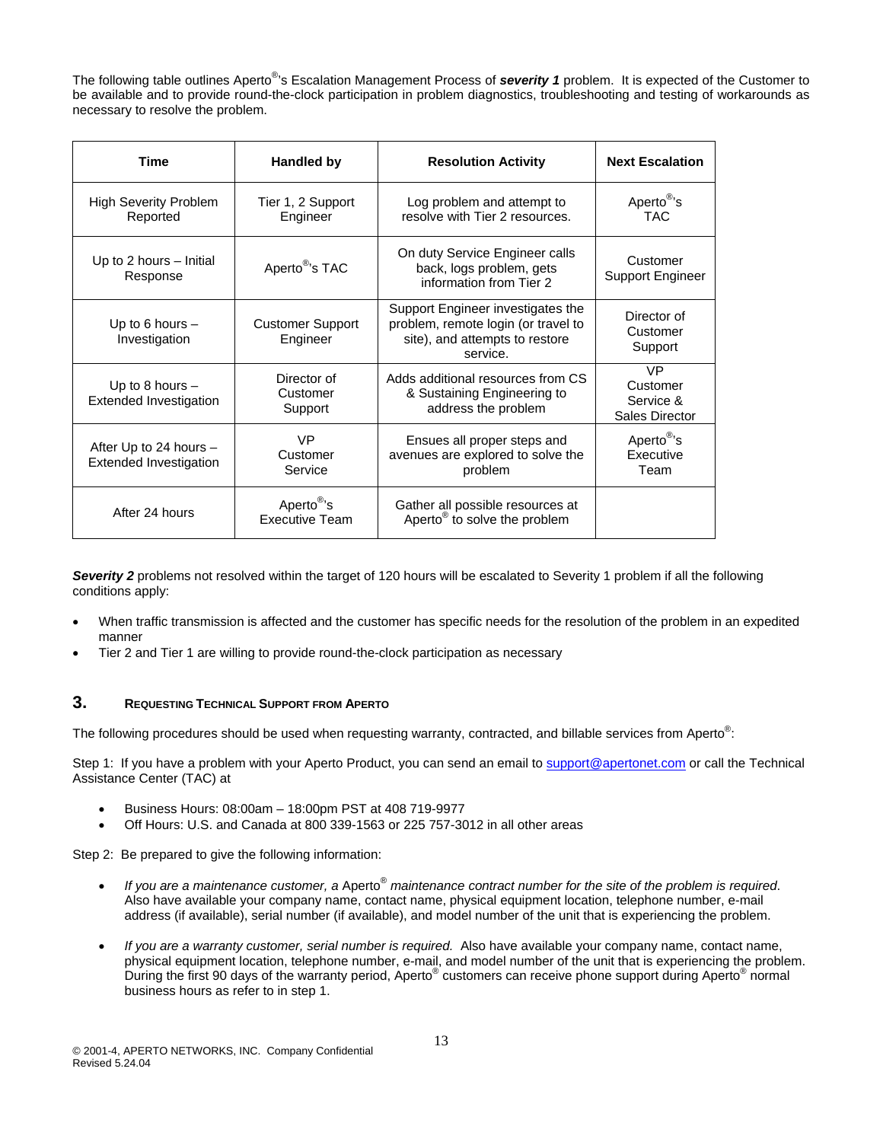The following table outlines Aperto® 's Escalation Management Process of *severity 1* problem. It is expected of the Customer to be available and to provide round-the-clock participation in problem diagnostics, troubleshooting and testing of workarounds as necessary to resolve the problem.

| Time                                                    | <b>Handled by</b>                               | <b>Resolution Activity</b>                                                                                             | <b>Next Escalation</b>                        |
|---------------------------------------------------------|-------------------------------------------------|------------------------------------------------------------------------------------------------------------------------|-----------------------------------------------|
| <b>High Severity Problem</b><br>Reported                | Tier 1, 2 Support<br>Engineer                   | Log problem and attempt to<br>resolve with Tier 2 resources.                                                           | Aperto <sup>®</sup> 's<br>TAC.                |
| Up to 2 hours - Initial<br>Response                     | Aperto <sup>®</sup> 's TAC                      | On duty Service Engineer calls<br>back, logs problem, gets<br>information from Tier 2                                  | Customer<br>Support Engineer                  |
| Up to 6 hours $-$<br>Investigation                      | <b>Customer Support</b><br>Engineer             | Support Engineer investigates the<br>problem, remote login (or travel to<br>site), and attempts to restore<br>service. | Director of<br>Customer<br>Support            |
| Up to 8 hours $-$<br><b>Extended Investigation</b>      | Director of<br>Customer<br>Support              | Adds additional resources from CS<br>& Sustaining Engineering to<br>address the problem                                | VP<br>Customer<br>Service &<br>Sales Director |
| After Up to 24 hours -<br><b>Extended Investigation</b> | <b>VP</b><br>Customer<br>Service                | Ensues all proper steps and<br>avenues are explored to solve the<br>problem                                            | Aperto <sup>®</sup> 's<br>Executive<br>Team   |
| After 24 hours                                          | Aperto <sup>®</sup> 's<br><b>Executive Team</b> | Gather all possible resources at<br>Aperto <sup>®</sup> to solve the problem                                           |                                               |

*Severity 2* problems not resolved within the target of 120 hours will be escalated to Severity 1 problem if all the following conditions apply:

- When traffic transmission is affected and the customer has specific needs for the resolution of the problem in an expedited manner
- Tier 2 and Tier 1 are willing to provide round-the-clock participation as necessary

### **3. REQUESTING TECHNICAL SUPPORT FROM APERTO**

The following procedures should be used when requesting warranty, contracted, and billable services from Aperto<sup>®</sup>:

Step 1: If you have a problem with your Aperto Product, you can send an email to support@apertonet.com or call the Technical Assistance Center (TAC) at

- Business Hours: 08:00am 18:00pm PST at 408 719-9977
- Off Hours: U.S. and Canada at 800 339-1563 or 225 757-3012 in all other areas

Step 2: Be prepared to give the following information:

- *If you are a maintenance customer, a* Aperto® *maintenance contract number for the site of the problem is required*. Also have available your company name, contact name, physical equipment location, telephone number, e-mail address (if available), serial number (if available), and model number of the unit that is experiencing the problem.
- *If you are a warranty customer, serial number is required.* Also have available your company name, contact name, physical equipment location, telephone number, e-mail, and model number of the unit that is experiencing the problem. During the first 90 days of the warranty period, Aperto<sup>®</sup> customers can receive phone support during Aperto<sup>®</sup> normal business hours as refer to in step 1.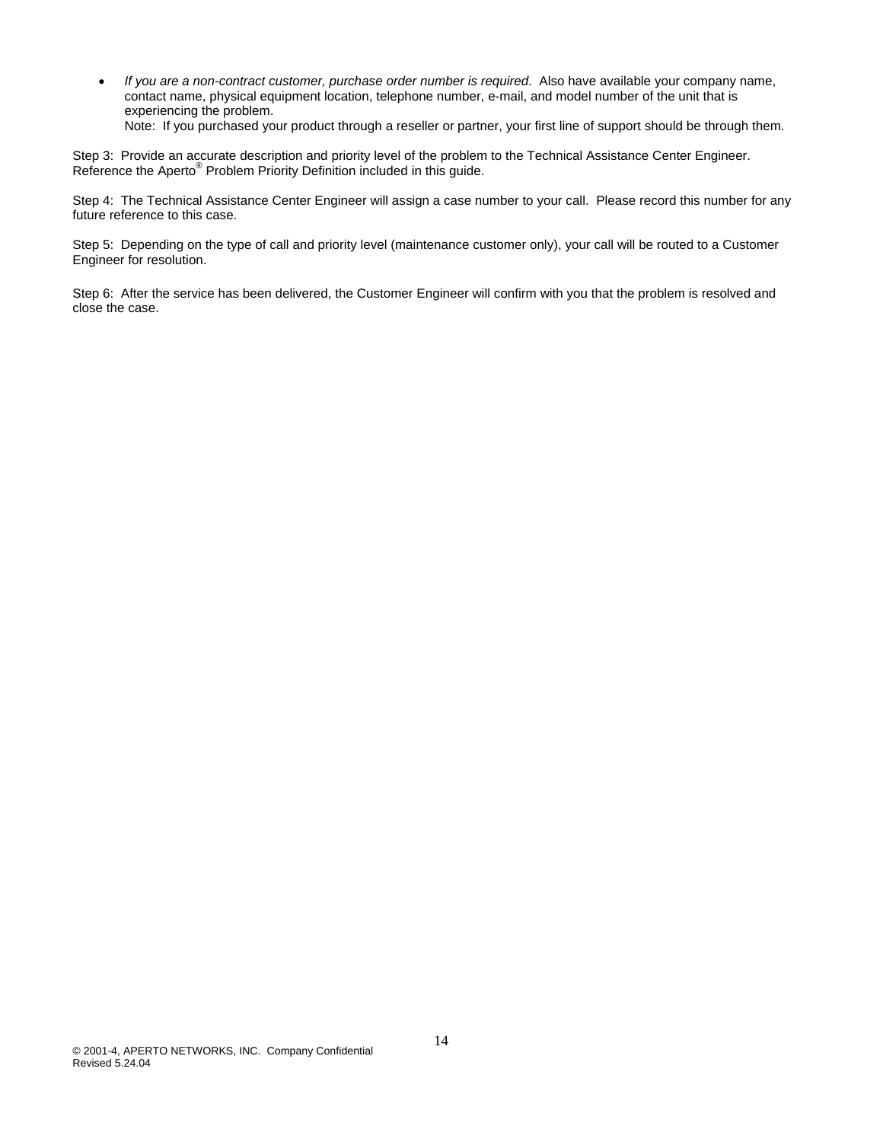• *If you are a non-contract customer, purchase order number is required*. Also have available your company name, contact name, physical equipment location, telephone number, e-mail, and model number of the unit that is experiencing the problem. Note: If you purchased your product through a reseller or partner, your first line of support should be through them.

Step 3: Provide an accurate description and priority level of the problem to the Technical Assistance Center Engineer. Reference the Aperto<sup>®</sup> Problem Priority Definition included in this guide.

Step 4: The Technical Assistance Center Engineer will assign a case number to your call. Please record this number for any future reference to this case.

Step 5: Depending on the type of call and priority level (maintenance customer only), your call will be routed to a Customer Engineer for resolution.

Step 6: After the service has been delivered, the Customer Engineer will confirm with you that the problem is resolved and close the case.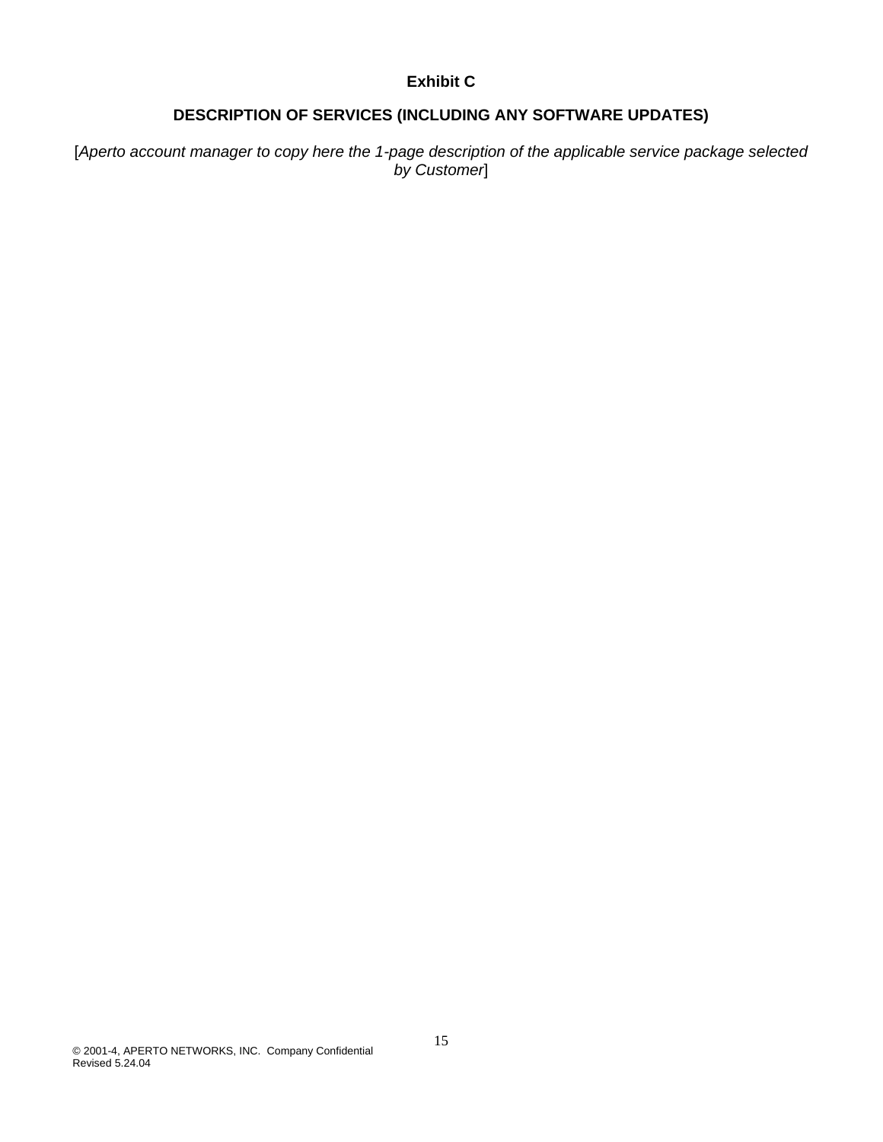# **Exhibit C**

# **DESCRIPTION OF SERVICES (INCLUDING ANY SOFTWARE UPDATES)**

[*Aperto account manager to copy here the 1-page description of the applicable service package selected by Customer*]